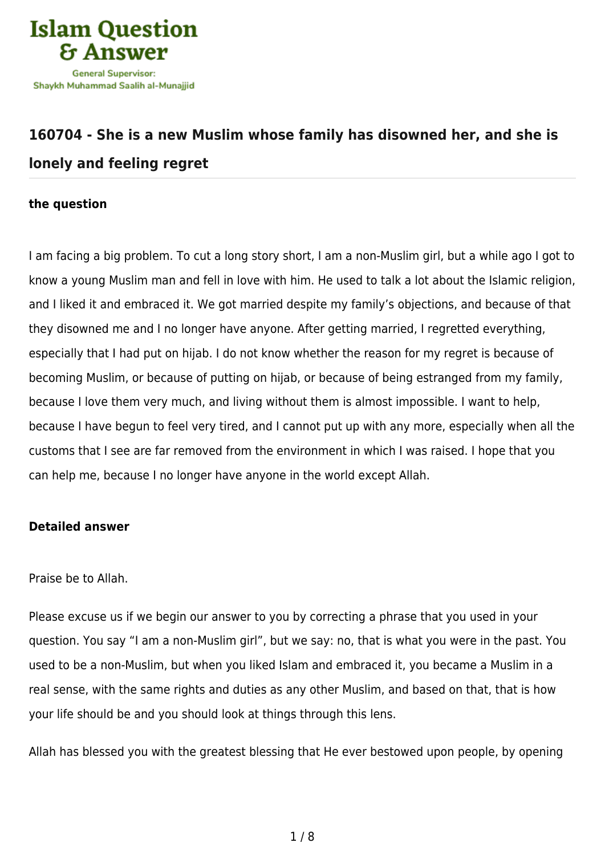

## **[160704 - She is a new Muslim whose family has disowned her, and she is](https://islamqa.ws/en/answers/160704/she-is-a-new-muslim-whose-family-has-disowned-her-and-she-is-lonely-and-feeling-regret) [lonely and feeling regret](https://islamqa.ws/en/answers/160704/she-is-a-new-muslim-whose-family-has-disowned-her-and-she-is-lonely-and-feeling-regret)**

## **the question**

I am facing a big problem. To cut a long story short, I am a non-Muslim girl, but a while ago I got to know a young Muslim man and fell in love with him. He used to talk a lot about the Islamic religion, and I liked it and embraced it. We got married despite my family's objections, and because of that they disowned me and I no longer have anyone. After getting married, I regretted everything, especially that I had put on hijab. I do not know whether the reason for my regret is because of becoming Muslim, or because of putting on hijab, or because of being estranged from my family, because I love them very much, and living without them is almost impossible. I want to help, because I have begun to feel very tired, and I cannot put up with any more, especially when all the customs that I see are far removed from the environment in which I was raised. I hope that you can help me, because I no longer have anyone in the world except Allah.

## **Detailed answer**

Praise be to Allah.

Please excuse us if we begin our answer to you by correcting a phrase that you used in your question. You say "I am a non-Muslim girl", but we say: no, that is what you were in the past. You used to be a non-Muslim, but when you liked Islam and embraced it, you became a Muslim in a real sense, with the same rights and duties as any other Muslim, and based on that, that is how your life should be and you should look at things through this lens.

Allah has blessed you with the greatest blessing that He ever bestowed upon people, by opening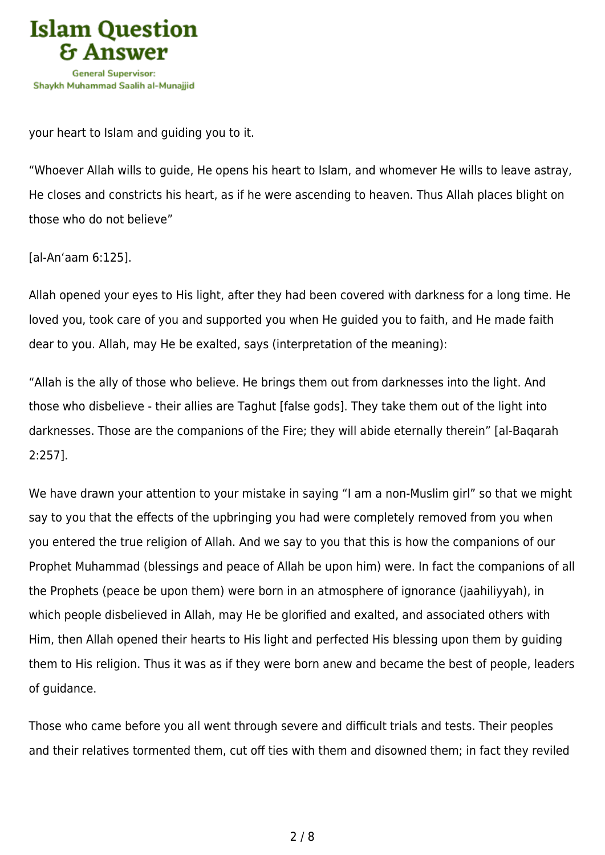

your heart to Islam and guiding you to it.

"Whoever Allah wills to guide, He opens his heart to Islam, and whomever He wills to leave astray, He closes and constricts his heart, as if he were ascending to heaven. Thus Allah places blight on those who do not believe"

[al-An'aam 6:125].

Allah opened your eyes to His light, after they had been covered with darkness for a long time. He loved you, took care of you and supported you when He guided you to faith, and He made faith dear to you. Allah, may He be exalted, says (interpretation of the meaning):

"Allah is the ally of those who believe. He brings them out from darknesses into the light. And those who disbelieve - their allies are Taghut [false gods]. They take them out of the light into darknesses. Those are the companions of the Fire; they will abide eternally therein" [al-Baqarah 2:257].

We have drawn your attention to your mistake in saying "I am a non-Muslim girl" so that we might say to you that the effects of the upbringing you had were completely removed from you when you entered the true religion of Allah. And we say to you that this is how the companions of our Prophet Muhammad (blessings and peace of Allah be upon him) were. In fact the companions of all the Prophets (peace be upon them) were born in an atmosphere of ignorance (jaahiliyyah), in which people disbelieved in Allah, may He be glorified and exalted, and associated others with Him, then Allah opened their hearts to His light and perfected His blessing upon them by guiding them to His religion. Thus it was as if they were born anew and became the best of people, leaders of guidance.

Those who came before you all went through severe and difficult trials and tests. Their peoples and their relatives tormented them, cut off ties with them and disowned them; in fact they reviled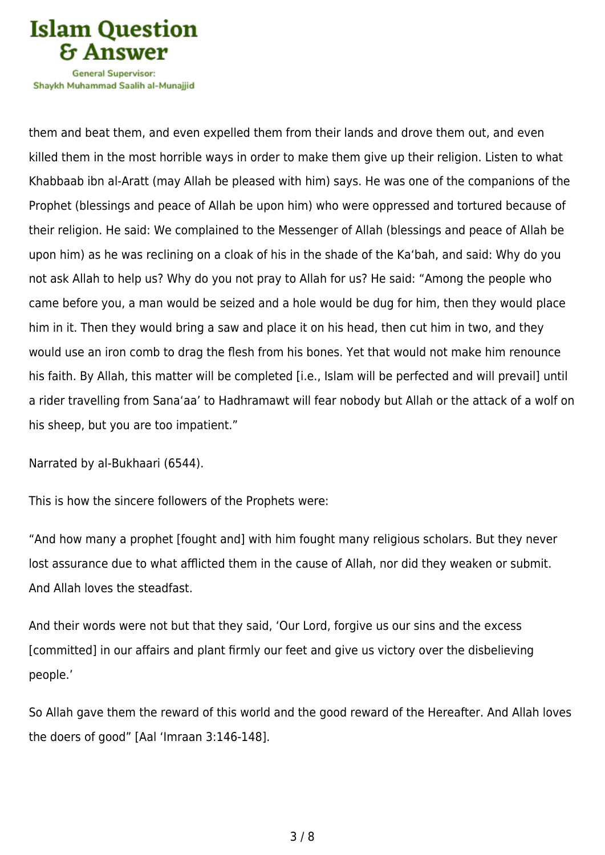

Shavkh Muhammad Saalih al-Munaiiid

them and beat them, and even expelled them from their lands and drove them out, and even killed them in the most horrible ways in order to make them give up their religion. Listen to what Khabbaab ibn al-Aratt (may Allah be pleased with him) says. He was one of the companions of the Prophet (blessings and peace of Allah be upon him) who were oppressed and tortured because of their religion. He said: We complained to the Messenger of Allah (blessings and peace of Allah be upon him) as he was reclining on a cloak of his in the shade of the Ka'bah, and said: Why do you not ask Allah to help us? Why do you not pray to Allah for us? He said: "Among the people who came before you, a man would be seized and a hole would be dug for him, then they would place him in it. Then they would bring a saw and place it on his head, then cut him in two, and they would use an iron comb to drag the flesh from his bones. Yet that would not make him renounce his faith. By Allah, this matter will be completed [i.e., Islam will be perfected and will prevail] until a rider travelling from Sana'aa' to Hadhramawt will fear nobody but Allah or the attack of a wolf on his sheep, but you are too impatient."

Narrated by al-Bukhaari (6544).

This is how the sincere followers of the Prophets were:

"And how many a prophet [fought and] with him fought many religious scholars. But they never lost assurance due to what afflicted them in the cause of Allah, nor did they weaken or submit. And Allah loves the steadfast.

And their words were not but that they said, 'Our Lord, forgive us our sins and the excess [committed] in our affairs and plant firmly our feet and give us victory over the disbelieving people.'

So Allah gave them the reward of this world and the good reward of the Hereafter. And Allah loves the doers of good" [Aal 'Imraan 3:146-148].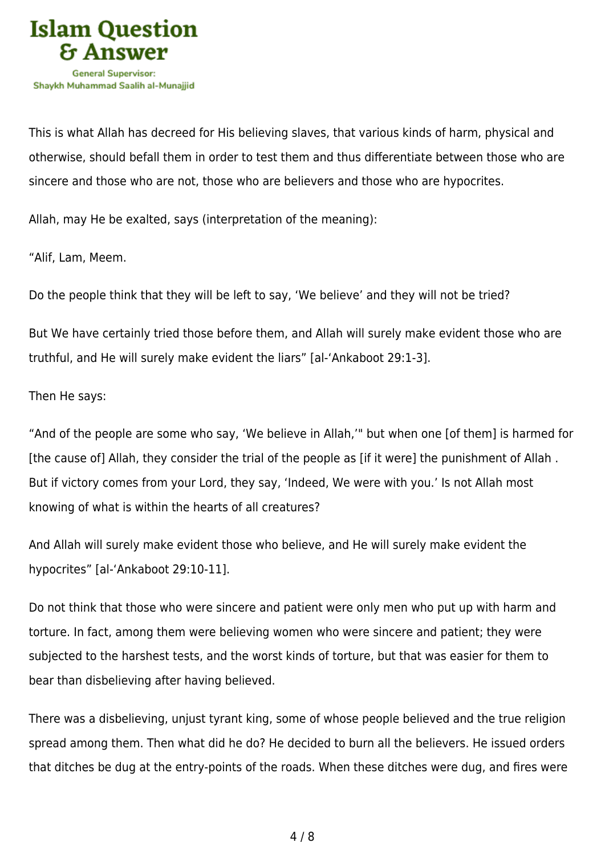

This is what Allah has decreed for His believing slaves, that various kinds of harm, physical and otherwise, should befall them in order to test them and thus differentiate between those who are sincere and those who are not, those who are believers and those who are hypocrites.

Allah, may He be exalted, says (interpretation of the meaning):

"Alif, Lam, Meem.

Do the people think that they will be left to say, 'We believe' and they will not be tried?

But We have certainly tried those before them, and Allah will surely make evident those who are truthful, and He will surely make evident the liars" [al-'Ankaboot 29:1-3].

Then He says:

"And of the people are some who say, 'We believe in Allah,'" but when one [of them] is harmed for [the cause of] Allah, they consider the trial of the people as [if it were] the punishment of Allah . But if victory comes from your Lord, they say, 'Indeed, We were with you.' Is not Allah most knowing of what is within the hearts of all creatures?

And Allah will surely make evident those who believe, and He will surely make evident the hypocrites" [al-'Ankaboot 29:10-11].

Do not think that those who were sincere and patient were only men who put up with harm and torture. In fact, among them were believing women who were sincere and patient; they were subjected to the harshest tests, and the worst kinds of torture, but that was easier for them to bear than disbelieving after having believed.

There was a disbelieving, unjust tyrant king, some of whose people believed and the true religion spread among them. Then what did he do? He decided to burn all the believers. He issued orders that ditches be dug at the entry-points of the roads. When these ditches were dug, and fires were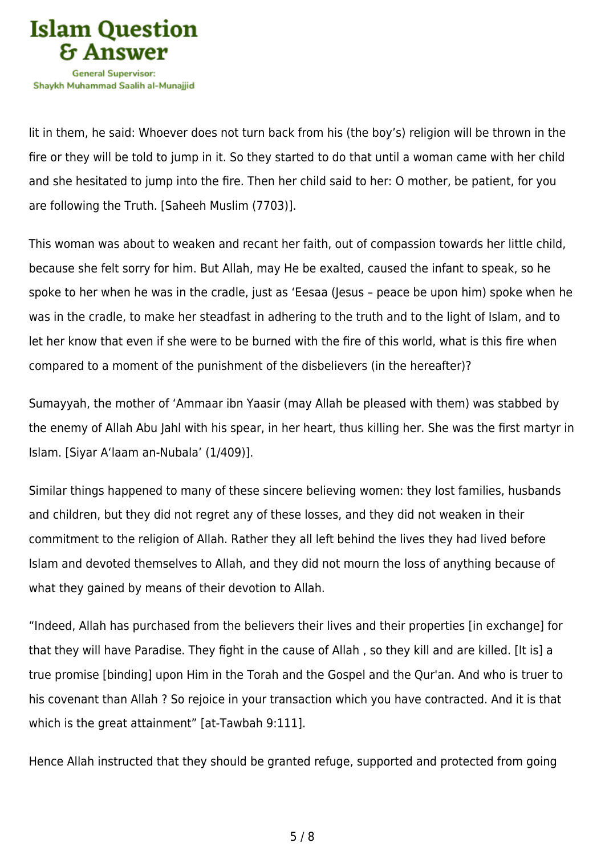

lit in them, he said: Whoever does not turn back from his (the boy's) religion will be thrown in the fire or they will be told to jump in it. So they started to do that until a woman came with her child and she hesitated to jump into the fire. Then her child said to her: O mother, be patient, for you are following the Truth. [Saheeh Muslim (7703)].

This woman was about to weaken and recant her faith, out of compassion towards her little child, because she felt sorry for him. But Allah, may He be exalted, caused the infant to speak, so he spoke to her when he was in the cradle, just as 'Eesaa (Jesus – peace be upon him) spoke when he was in the cradle, to make her steadfast in adhering to the truth and to the light of Islam, and to let her know that even if she were to be burned with the fire of this world, what is this fire when compared to a moment of the punishment of the disbelievers (in the hereafter)?

Sumayyah, the mother of 'Ammaar ibn Yaasir (may Allah be pleased with them) was stabbed by the enemy of Allah Abu Jahl with his spear, in her heart, thus killing her. She was the first martyr in Islam. [Siyar A'laam an-Nubala' (1/409)].

Similar things happened to many of these sincere believing women: they lost families, husbands and children, but they did not regret any of these losses, and they did not weaken in their commitment to the religion of Allah. Rather they all left behind the lives they had lived before Islam and devoted themselves to Allah, and they did not mourn the loss of anything because of what they gained by means of their devotion to Allah.

"Indeed, Allah has purchased from the believers their lives and their properties [in exchange] for that they will have Paradise. They fight in the cause of Allah , so they kill and are killed. [It is] a true promise [binding] upon Him in the Torah and the Gospel and the Qur'an. And who is truer to his covenant than Allah ? So rejoice in your transaction which you have contracted. And it is that which is the great attainment" [at-Tawbah 9:111].

Hence Allah instructed that they should be granted refuge, supported and protected from going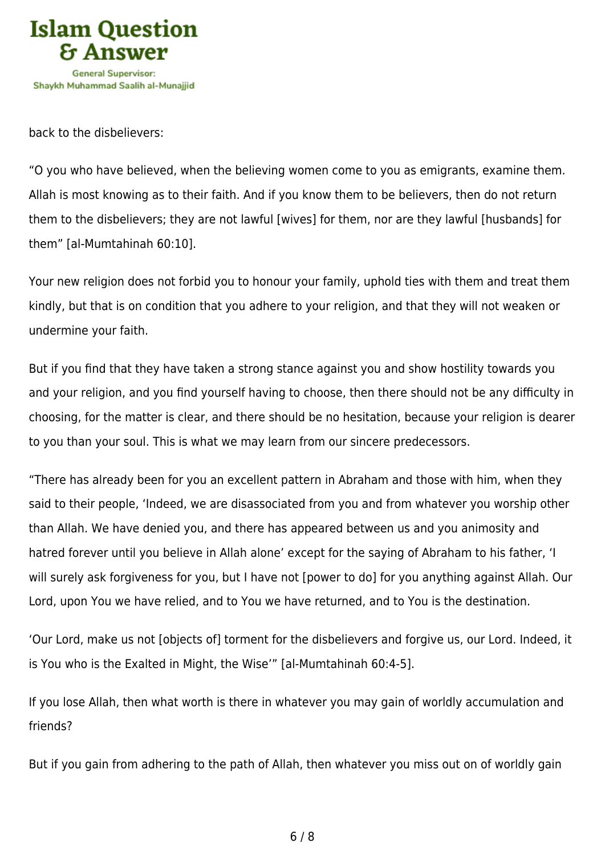

back to the disbelievers:

"O you who have believed, when the believing women come to you as emigrants, examine them. Allah is most knowing as to their faith. And if you know them to be believers, then do not return them to the disbelievers; they are not lawful [wives] for them, nor are they lawful [husbands] for them" [al-Mumtahinah 60:10].

Your new religion does not forbid you to honour your family, uphold ties with them and treat them kindly, but that is on condition that you adhere to your religion, and that they will not weaken or undermine your faith.

But if you find that they have taken a strong stance against you and show hostility towards you and your religion, and you find yourself having to choose, then there should not be any difficulty in choosing, for the matter is clear, and there should be no hesitation, because your religion is dearer to you than your soul. This is what we may learn from our sincere predecessors.

"There has already been for you an excellent pattern in Abraham and those with him, when they said to their people, 'Indeed, we are disassociated from you and from whatever you worship other than Allah. We have denied you, and there has appeared between us and you animosity and hatred forever until you believe in Allah alone' except for the saying of Abraham to his father, 'I will surely ask forgiveness for you, but I have not [power to do] for you anything against Allah. Our Lord, upon You we have relied, and to You we have returned, and to You is the destination.

'Our Lord, make us not [objects of] torment for the disbelievers and forgive us, our Lord. Indeed, it is You who is the Exalted in Might, the Wise'" [al-Mumtahinah 60:4-5].

If you lose Allah, then what worth is there in whatever you may gain of worldly accumulation and friends?

But if you gain from adhering to the path of Allah, then whatever you miss out on of worldly gain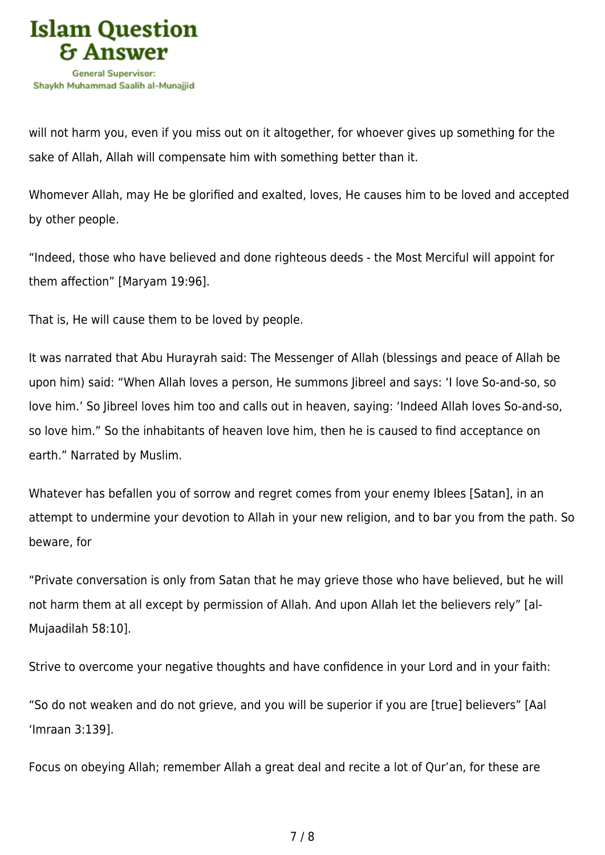

will not harm you, even if you miss out on it altogether, for whoever gives up something for the sake of Allah, Allah will compensate him with something better than it.

Whomever Allah, may He be glorified and exalted, loves, He causes him to be loved and accepted by other people.

"Indeed, those who have believed and done righteous deeds - the Most Merciful will appoint for them affection" [Maryam 19:96].

That is, He will cause them to be loved by people.

It was narrated that Abu Hurayrah said: The Messenger of Allah (blessings and peace of Allah be upon him) said: "When Allah loves a person, He summons Jibreel and says: 'I love So-and-so, so love him.' So Jibreel loves him too and calls out in heaven, saying: 'Indeed Allah loves So-and-so, so love him." So the inhabitants of heaven love him, then he is caused to find acceptance on earth." Narrated by Muslim.

Whatever has befallen you of sorrow and regret comes from your enemy Iblees [Satan], in an attempt to undermine your devotion to Allah in your new religion, and to bar you from the path. So beware, for

"Private conversation is only from Satan that he may grieve those who have believed, but he will not harm them at all except by permission of Allah. And upon Allah let the believers rely" [al-Mujaadilah 58:10].

Strive to overcome your negative thoughts and have confidence in your Lord and in your faith:

"So do not weaken and do not grieve, and you will be superior if you are [true] believers" [Aal 'Imraan 3:139].

Focus on obeying Allah; remember Allah a great deal and recite a lot of Qur'an, for these are